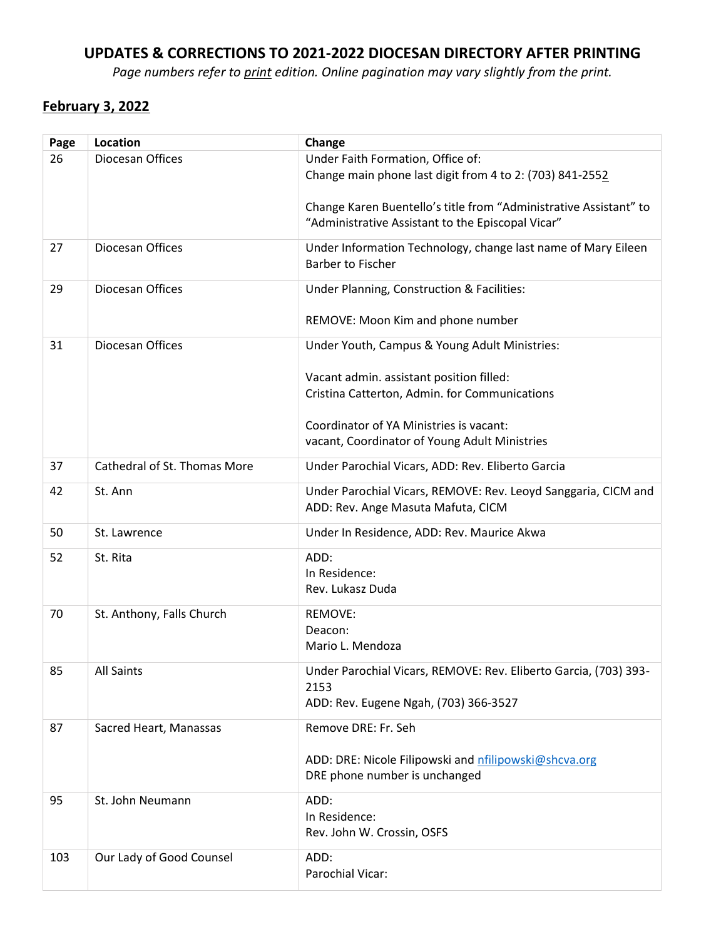## UPDATES & CORRECTIONS TO 2021-2022 DIOCESAN DIRECTORY AFTER PRINTING

Page numbers refer to print edition. Online pagination may vary slightly from the print.

### February 3, 2022

| Page | Location                     | Change                                                                                                                 |
|------|------------------------------|------------------------------------------------------------------------------------------------------------------------|
| 26   | Diocesan Offices             | Under Faith Formation, Office of:                                                                                      |
|      |                              | Change main phone last digit from 4 to 2: (703) 841-2552                                                               |
|      |                              |                                                                                                                        |
|      |                              | Change Karen Buentello's title from "Administrative Assistant" to<br>"Administrative Assistant to the Episcopal Vicar" |
|      |                              |                                                                                                                        |
| 27   | Diocesan Offices             | Under Information Technology, change last name of Mary Eileen                                                          |
|      |                              | <b>Barber to Fischer</b>                                                                                               |
| 29   | Diocesan Offices             | Under Planning, Construction & Facilities:                                                                             |
|      |                              |                                                                                                                        |
|      |                              | REMOVE: Moon Kim and phone number                                                                                      |
| 31   | Diocesan Offices             | Under Youth, Campus & Young Adult Ministries:                                                                          |
|      |                              |                                                                                                                        |
|      |                              | Vacant admin. assistant position filled:                                                                               |
|      |                              | Cristina Catterton, Admin. for Communications                                                                          |
|      |                              | Coordinator of YA Ministries is vacant:                                                                                |
|      |                              | vacant, Coordinator of Young Adult Ministries                                                                          |
|      |                              |                                                                                                                        |
| 37   | Cathedral of St. Thomas More | Under Parochial Vicars, ADD: Rev. Eliberto Garcia                                                                      |
| 42   | St. Ann                      | Under Parochial Vicars, REMOVE: Rev. Leoyd Sanggaria, CICM and                                                         |
|      |                              | ADD: Rev. Ange Masuta Mafuta, CICM                                                                                     |
| 50   | St. Lawrence                 | Under In Residence, ADD: Rev. Maurice Akwa                                                                             |
| 52   | St. Rita                     | ADD:                                                                                                                   |
|      |                              | In Residence:                                                                                                          |
|      |                              | Rev. Lukasz Duda                                                                                                       |
| 70   | St. Anthony, Falls Church    | REMOVE:                                                                                                                |
|      |                              | Deacon:                                                                                                                |
|      |                              | Mario L. Mendoza                                                                                                       |
|      |                              |                                                                                                                        |
| 85   | <b>All Saints</b>            | Under Parochial Vicars, REMOVE: Rev. Eliberto Garcia, (703) 393-<br>2153                                               |
|      |                              | ADD: Rev. Eugene Ngah, (703) 366-3527                                                                                  |
|      |                              |                                                                                                                        |
| 87   | Sacred Heart, Manassas       | Remove DRE: Fr. Seh                                                                                                    |
|      |                              | ADD: DRE: Nicole Filipowski and nfilipowski@shcva.org                                                                  |
|      |                              | DRE phone number is unchanged                                                                                          |
|      |                              |                                                                                                                        |
| 95   | St. John Neumann             | ADD:<br>In Residence:                                                                                                  |
|      |                              | Rev. John W. Crossin, OSFS                                                                                             |
|      |                              |                                                                                                                        |
| 103  | Our Lady of Good Counsel     | ADD:                                                                                                                   |
|      |                              | Parochial Vicar:                                                                                                       |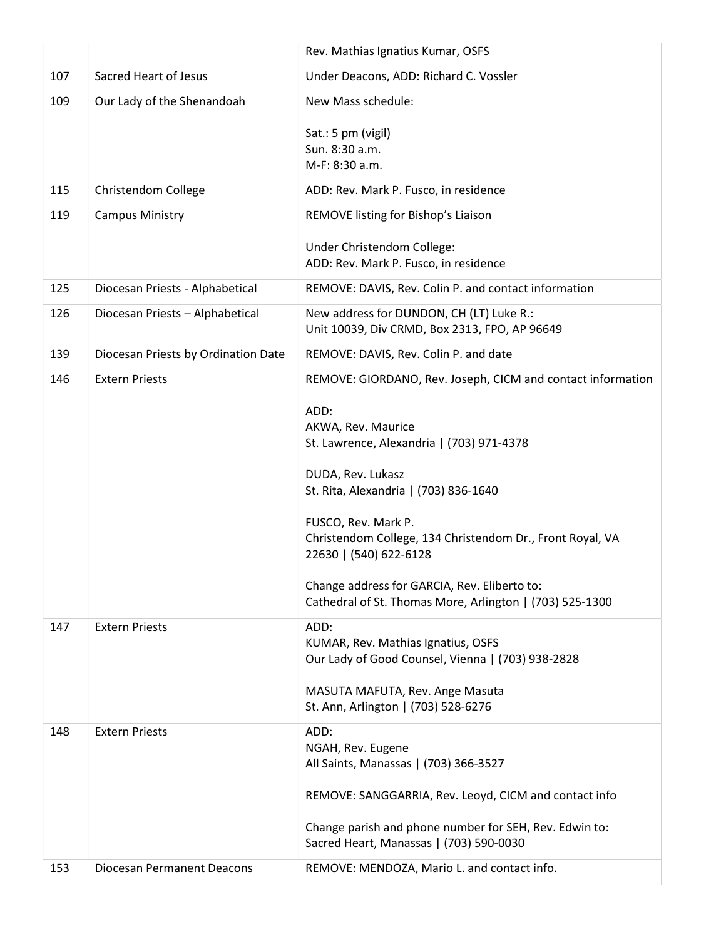|     |                                     | Rev. Mathias Ignatius Kumar, OSFS                                                                                                                                                                                                                                                                                                                               |
|-----|-------------------------------------|-----------------------------------------------------------------------------------------------------------------------------------------------------------------------------------------------------------------------------------------------------------------------------------------------------------------------------------------------------------------|
| 107 | <b>Sacred Heart of Jesus</b>        | Under Deacons, ADD: Richard C. Vossler                                                                                                                                                                                                                                                                                                                          |
| 109 | Our Lady of the Shenandoah          | New Mass schedule:                                                                                                                                                                                                                                                                                                                                              |
|     |                                     | Sat.: 5 pm (vigil)<br>Sun. 8:30 a.m.<br>M-F: 8:30 a.m.                                                                                                                                                                                                                                                                                                          |
| 115 | Christendom College                 | ADD: Rev. Mark P. Fusco, in residence                                                                                                                                                                                                                                                                                                                           |
| 119 | <b>Campus Ministry</b>              | REMOVE listing for Bishop's Liaison                                                                                                                                                                                                                                                                                                                             |
|     |                                     |                                                                                                                                                                                                                                                                                                                                                                 |
|     |                                     | Under Christendom College:<br>ADD: Rev. Mark P. Fusco, in residence                                                                                                                                                                                                                                                                                             |
| 125 | Diocesan Priests - Alphabetical     | REMOVE: DAVIS, Rev. Colin P. and contact information                                                                                                                                                                                                                                                                                                            |
| 126 | Diocesan Priests - Alphabetical     | New address for DUNDON, CH (LT) Luke R.:                                                                                                                                                                                                                                                                                                                        |
|     |                                     | Unit 10039, Div CRMD, Box 2313, FPO, AP 96649                                                                                                                                                                                                                                                                                                                   |
| 139 | Diocesan Priests by Ordination Date | REMOVE: DAVIS, Rev. Colin P. and date                                                                                                                                                                                                                                                                                                                           |
| 146 | <b>Extern Priests</b>               | REMOVE: GIORDANO, Rev. Joseph, CICM and contact information                                                                                                                                                                                                                                                                                                     |
|     |                                     | ADD:<br>AKWA, Rev. Maurice<br>St. Lawrence, Alexandria   (703) 971-4378<br>DUDA, Rev. Lukasz<br>St. Rita, Alexandria   (703) 836-1640<br>FUSCO, Rev. Mark P.<br>Christendom College, 134 Christendom Dr., Front Royal, VA<br>22630   (540) 622-6128<br>Change address for GARCIA, Rev. Eliberto to:<br>Cathedral of St. Thomas More, Arlington   (703) 525-1300 |
| 147 | <b>Extern Priests</b>               | ADD:<br>KUMAR, Rev. Mathias Ignatius, OSFS<br>Our Lady of Good Counsel, Vienna   (703) 938-2828<br>MASUTA MAFUTA, Rev. Ange Masuta<br>St. Ann, Arlington   (703) 528-6276                                                                                                                                                                                       |
| 148 | <b>Extern Priests</b>               | ADD:<br>NGAH, Rev. Eugene<br>All Saints, Manassas   (703) 366-3527<br>REMOVE: SANGGARRIA, Rev. Leoyd, CICM and contact info<br>Change parish and phone number for SEH, Rev. Edwin to:<br>Sacred Heart, Manassas   (703) 590-0030                                                                                                                                |
| 153 | Diocesan Permanent Deacons          | REMOVE: MENDOZA, Mario L. and contact info.                                                                                                                                                                                                                                                                                                                     |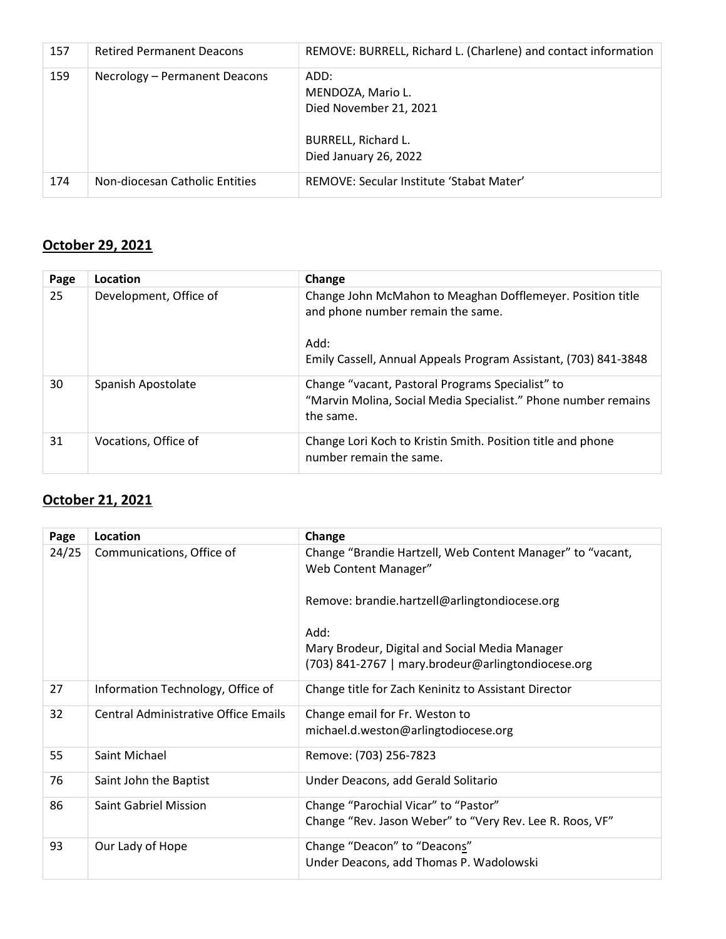| 157 | <b>Retired Permanent Deacons</b> | REMOVE: BURRELL, Richard L. (Charlene) and contact information                                      |
|-----|----------------------------------|-----------------------------------------------------------------------------------------------------|
| 159 | Necrology - Permanent Deacons    | ADD:<br>MENDOZA, Mario L.<br>Died November 21, 2021<br>BURRELL, Richard L.<br>Died January 26, 2022 |
| 174 | Non-diocesan Catholic Entities   | REMOVE: Secular Institute 'Stabat Mater'                                                            |

# October 29, 2021

| Page | Location               | Change                                                                                                                          |
|------|------------------------|---------------------------------------------------------------------------------------------------------------------------------|
| 25   | Development, Office of | Change John McMahon to Meaghan Dofflemeyer. Position title<br>and phone number remain the same.                                 |
|      |                        | Add:<br>Emily Cassell, Annual Appeals Program Assistant, (703) 841-3848                                                         |
| 30   | Spanish Apostolate     | Change "vacant, Pastoral Programs Specialist" to<br>"Marvin Molina, Social Media Specialist." Phone number remains<br>the same. |
| 31   | Vocations, Office of   | Change Lori Koch to Kristin Smith. Position title and phone<br>number remain the same.                                          |

### October 21, 2021

| Page  | Location                             | Change                                                                                               |
|-------|--------------------------------------|------------------------------------------------------------------------------------------------------|
| 24/25 | Communications, Office of            | Change "Brandie Hartzell, Web Content Manager" to "vacant,<br>Web Content Manager"                   |
|       |                                      | Remove: brandie.hartzell@arlingtondiocese.org                                                        |
|       |                                      | Add:                                                                                                 |
|       |                                      | Mary Brodeur, Digital and Social Media Manager<br>(703) 841-2767   mary.brodeur@arlingtondiocese.org |
| 27    | Information Technology, Office of    | Change title for Zach Keninitz to Assistant Director                                                 |
| 32    | Central Administrative Office Emails | Change email for Fr. Weston to<br>michael.d.weston@arlingtodiocese.org                               |
| 55    | Saint Michael                        | Remove: (703) 256-7823                                                                               |
| 76    | Saint John the Baptist               | Under Deacons, add Gerald Solitario                                                                  |
| 86    | Saint Gabriel Mission                | Change "Parochial Vicar" to "Pastor"                                                                 |
|       |                                      | Change "Rev. Jason Weber" to "Very Rev. Lee R. Roos, VF"                                             |
| 93    | Our Lady of Hope                     | Change "Deacon" to "Deacons"                                                                         |
|       |                                      | Under Deacons, add Thomas P. Wadolowski                                                              |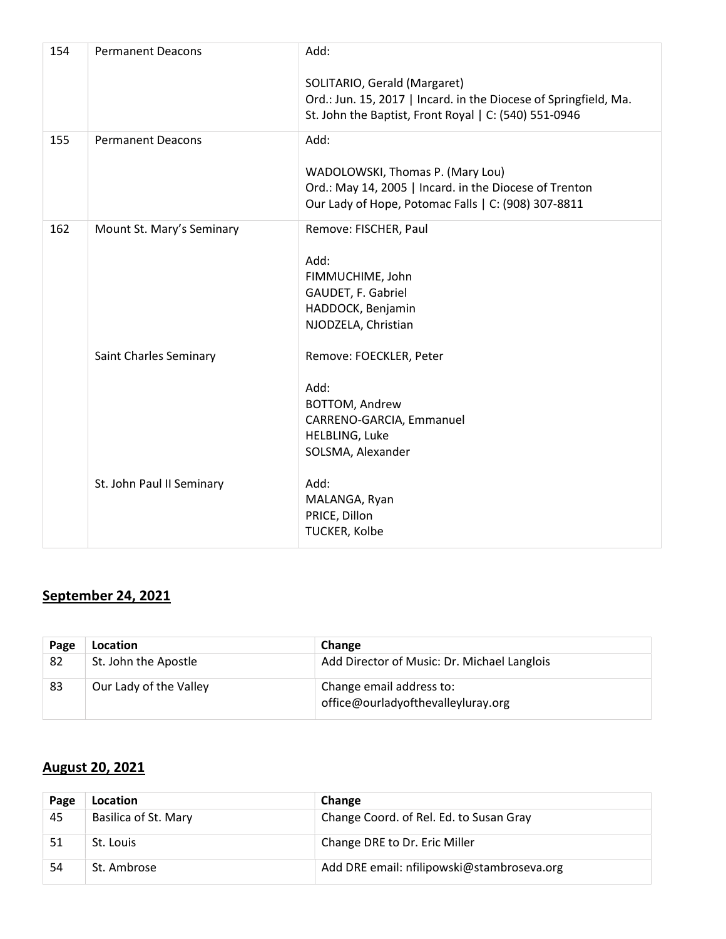| 154 | <b>Permanent Deacons</b>  | Add:                                                             |
|-----|---------------------------|------------------------------------------------------------------|
|     |                           | SOLITARIO, Gerald (Margaret)                                     |
|     |                           | Ord.: Jun. 15, 2017   Incard. in the Diocese of Springfield, Ma. |
|     |                           | St. John the Baptist, Front Royal   C: (540) 551-0946            |
| 155 | <b>Permanent Deacons</b>  | Add:                                                             |
|     |                           | WADOLOWSKI, Thomas P. (Mary Lou)                                 |
|     |                           | Ord.: May 14, 2005   Incard. in the Diocese of Trenton           |
|     |                           | Our Lady of Hope, Potomac Falls   C: (908) 307-8811              |
| 162 | Mount St. Mary's Seminary | Remove: FISCHER, Paul                                            |
|     |                           |                                                                  |
|     |                           | Add:                                                             |
|     |                           | FIMMUCHIME, John<br>GAUDET, F. Gabriel                           |
|     |                           | HADDOCK, Benjamin                                                |
|     |                           | NJODZELA, Christian                                              |
|     |                           |                                                                  |
|     | Saint Charles Seminary    | Remove: FOECKLER, Peter                                          |
|     |                           | Add:                                                             |
|     |                           | BOTTOM, Andrew                                                   |
|     |                           | CARRENO-GARCIA, Emmanuel                                         |
|     |                           | HELBLING, Luke                                                   |
|     |                           | SOLSMA, Alexander                                                |
|     | St. John Paul II Seminary | Add:                                                             |
|     |                           | MALANGA, Ryan                                                    |
|     |                           | PRICE, Dillon                                                    |
|     |                           | TUCKER, Kolbe                                                    |

## September 24, 2021

| Page | Location               | Change                                                         |
|------|------------------------|----------------------------------------------------------------|
| 82   | St. John the Apostle   | Add Director of Music: Dr. Michael Langlois                    |
| 83   | Our Lady of the Valley | Change email address to:<br>office@ourladyofthevalleyluray.org |

# August 20, 2021

| Page | <b>Location</b>      | Change                                     |
|------|----------------------|--------------------------------------------|
| 45   | Basilica of St. Mary | Change Coord. of Rel. Ed. to Susan Gray    |
| 51   | St. Louis            | Change DRE to Dr. Eric Miller              |
| 54   | St. Ambrose          | Add DRE email: nfilipowski@stambroseva.org |